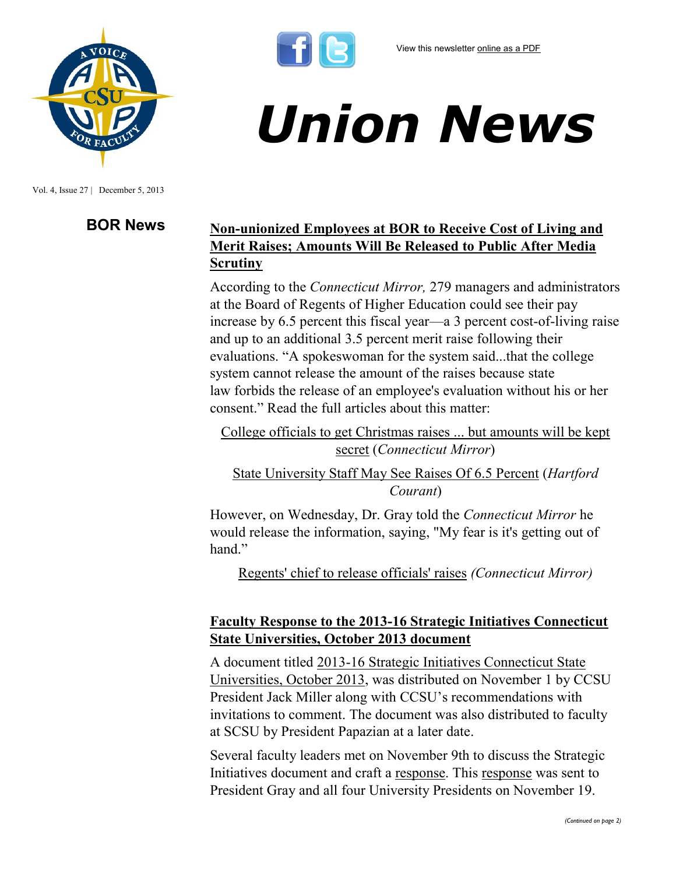

Vol. 4, Issue 27 | December 5, 2013

# *Union News*

## **BOR News Non-unionized Employees at BOR to Receive Cost of Living and Merit Raises; Amounts Will Be Released to Public After Media Scrutiny**

According to the *Connecticut Mirror,* 279 managers and administrators at the Board of Regents of Higher Education could see their pay increase by 6.5 percent this fiscal year—a 3 percent cost-of-living raise and up to an additional 3.5 percent merit raise following their evaluations. "A spokeswoman for the system said...that the college system cannot release the amount of the raises because state law forbids the release of an employee's evaluation without his or her consent." Read the full articles about this matter:

[College officials to get Christmas raises ... but amounts will be kept](http://www.ctmirror.org/story/2013/11/27/college-officials-get-christmas-raises-amounts-will-be-kept-secret)  [secret](http://www.ctmirror.org/story/2013/11/27/college-officials-get-christmas-raises-amounts-will-be-kept-secret) (*Connecticut Mirror*)

[State University Staff May See Raises Of 6.5 Percent](http://www.courant.com/news/education/hc-state-universities-raise-1203-20131202,0,6100462.story) (*Hartford Courant*)

However, on Wednesday, Dr. Gray told the *Connecticut Mirror* he would release the information, saying, "My fear is it's getting out of hand"

[Regents' chief to release officials' raises](http://www.ctmirror.org/story/2013/12/04/regents-chief-release-officials-raises) *(Connecticut Mirror)*

### **Faculty Response to the 2013-16 Strategic Initiatives Connecticut State Universities, October 2013 document**

A document titled [2013-16 Strategic Initiatives Connecticut State](http://www.csuaaup.org/wp-content/uploads/2013/11/ConnSCU-Strategic-Plan.pdf)  [Universities, October 2013,](http://www.csuaaup.org/wp-content/uploads/2013/11/ConnSCU-Strategic-Plan.pdf) was distributed on November 1 by CCSU President Jack Miller along with CCSU's recommendations with invitations to comment. The document was also distributed to faculty at SCSU by President Papazian at a later date.

Several faculty leaders met on November 9th to discuss the Strategic Initiatives document and craft a [response.](http://www.csuaaup.org/wp-content/uploads/2013/12/On-CSU-Strategic-Initiatives-111913.pdf) This [response](http://www.csuaaup.org/wp-content/uploads/2013/12/On-CSU-Strategic-Initiatives-111913.pdf) was sent to President Gray and all four University Presidents on November 19.